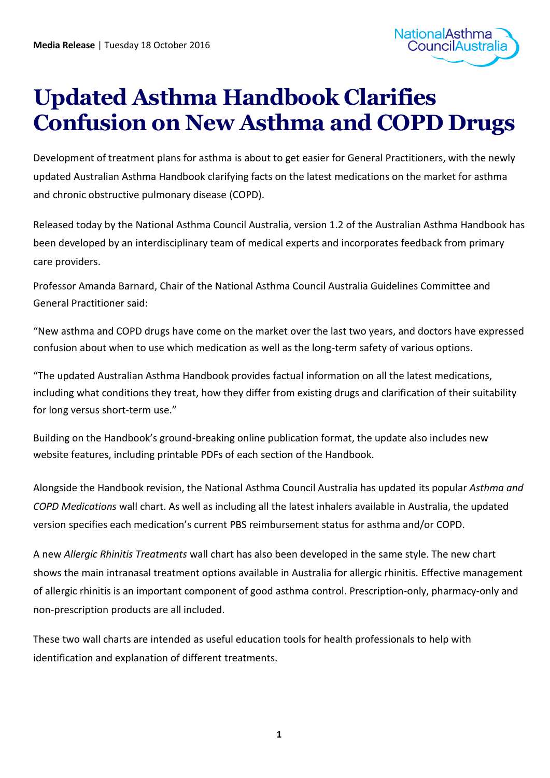

## **Updated Asthma Handbook Clarifies Confusion on New Asthma and COPD Drugs**

Development of treatment plans for asthma is about to get easier for General Practitioners, with the newly updated Australian Asthma Handbook clarifying facts on the latest medications on the market for asthma and chronic obstructive pulmonary disease (COPD).

Released today by the National Asthma Council Australia, version 1.2 of the Australian Asthma Handbook has been developed by an interdisciplinary team of medical experts and incorporates feedback from primary care providers.

Professor Amanda Barnard, Chair of the National Asthma Council Australia Guidelines Committee and General Practitioner said:

"New asthma and COPD drugs have come on the market over the last two years, and doctors have expressed confusion about when to use which medication as well as the long-term safety of various options.

"The updated Australian Asthma Handbook provides factual information on all the latest medications, including what conditions they treat, how they differ from existing drugs and clarification of their suitability for long versus short-term use."

Building on the Handbook's ground-breaking online publication format, the update also includes new website features, including printable PDFs of each section of the Handbook.

Alongside the Handbook revision, the National Asthma Council Australia has updated its popular *Asthma and COPD Medications* wall chart. As well as including all the latest inhalers available in Australia, the updated version specifies each medication's current PBS reimbursement status for asthma and/or COPD.

A new *Allergic Rhinitis Treatments* wall chart has also been developed in the same style. The new chart shows the main intranasal treatment options available in Australia for allergic rhinitis. Effective management of allergic rhinitis is an important component of good asthma control. Prescription-only, pharmacy-only and non-prescription products are all included.

These two wall charts are intended as useful education tools for health professionals to help with identification and explanation of different treatments.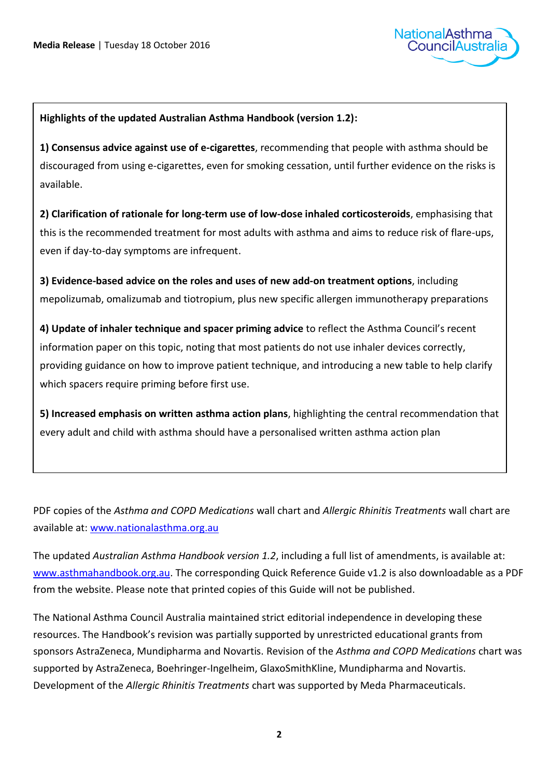

## **Highlights of the updated Australian Asthma Handbook (version 1.2):**

**1) Consensus advice against use of e-cigarettes**, recommending that people with asthma should be discouraged from using e-cigarettes, even for smoking cessation, until further evidence on the risks is available.

**2) Clarification of rationale for long-term use of low-dose inhaled corticosteroids**, emphasising that this is the recommended treatment for most adults with asthma and aims to reduce risk of flare-ups, even if day-to-day symptoms are infrequent.

**3) Evidence-based advice on the roles and uses of new add-on treatment options**, including mepolizumab, omalizumab and tiotropium, plus new specific allergen immunotherapy preparations

**4) Update of inhaler technique and spacer priming advice** to reflect the Asthma Council's recent information paper on this topic, noting that most patients do not use inhaler devices correctly, providing guidance on how to improve patient technique, and introducing a new table to help clarify which spacers require priming before first use.

**5) Increased emphasis on written asthma action plans**, highlighting the central recommendation that every adult and child with asthma should have a personalised written asthma action plan

PDF copies of the *Asthma and COPD Medications* wall chart and *Allergic Rhinitis Treatments* wall chart are available at: [www.nationalasthma.org.au](http://www.nationalasthma.org.au/)

The updated *Australian Asthma Handbook version 1.2*, including a full list of amendments, is available at: [www.asthmahandbook.org.au.](http://www.asthmahandbook.org.au/) The corresponding Quick Reference Guide v1.2 is also downloadable as a PDF from the website. Please note that printed copies of this Guide will not be published.

The National Asthma Council Australia maintained strict editorial independence in developing these resources. The Handbook's revision was partially supported by unrestricted educational grants from sponsors AstraZeneca, Mundipharma and Novartis. Revision of the *Asthma and COPD Medications* chart was supported by AstraZeneca, Boehringer-Ingelheim, GlaxoSmithKline, Mundipharma and Novartis. Development of the *Allergic Rhinitis Treatments* chart was supported by Meda Pharmaceuticals.